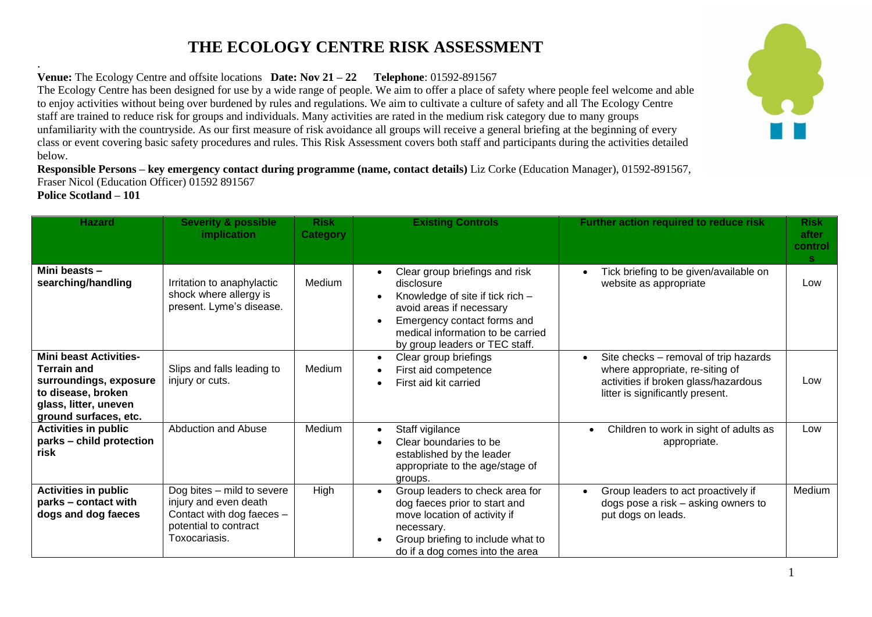## **THE ECOLOGY CENTRE RISK ASSESSMENT**

. **Venue:** The Ecology Centre and offsite locations **Date: Nov 21 – 22 Telephone**: 01592-891567

The Ecology Centre has been designed for use by a wide range of people. We aim to offer a place of safety where people feel welcome and able to enjoy activities without being over burdened by rules and regulations. We aim to cultivate a culture of safety and all The Ecology Centre staff are trained to reduce risk for groups and individuals. Many activities are rated in the medium risk category due to many groups unfamiliarity with the countryside. As our first measure of risk avoidance all groups will receive a general briefing at the beginning of every class or event covering basic safety procedures and rules. This Risk Assessment covers both staff and participants during the activities detailed below.

**Responsible Persons – key emergency contact during programme (name, contact details)** Liz Corke (Education Manager), 01592-891567, Fraser Nicol (Education Officer) 01592 891567 **Police Scotland – 101**



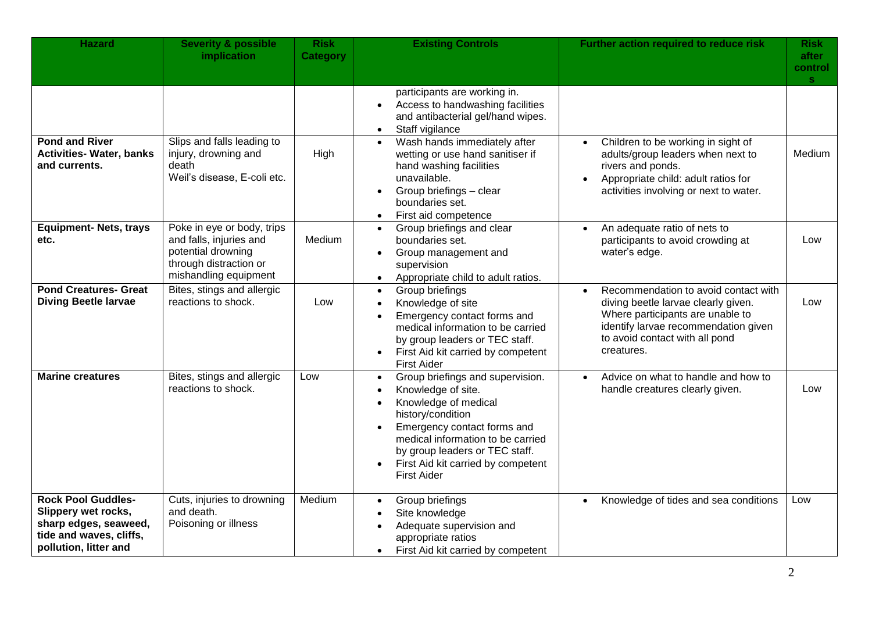| <b>Hazard</b>                                                                                                                 | <b>Severity &amp; possible</b><br>implication                                                                                  | <b>Risk</b><br><b>Category</b> | <b>Existing Controls</b>                                                                                                                                                                                                                                                                                                  | Further action required to reduce risk                                                                                                                                                                               | Risk<br>after<br>control<br>s. |
|-------------------------------------------------------------------------------------------------------------------------------|--------------------------------------------------------------------------------------------------------------------------------|--------------------------------|---------------------------------------------------------------------------------------------------------------------------------------------------------------------------------------------------------------------------------------------------------------------------------------------------------------------------|----------------------------------------------------------------------------------------------------------------------------------------------------------------------------------------------------------------------|--------------------------------|
|                                                                                                                               |                                                                                                                                |                                | participants are working in.<br>Access to handwashing facilities<br>and antibacterial gel/hand wipes.<br>Staff vigilance<br>$\bullet$                                                                                                                                                                                     |                                                                                                                                                                                                                      |                                |
| <b>Pond and River</b><br><b>Activities- Water, banks</b><br>and currents.                                                     | Slips and falls leading to<br>injury, drowning and<br>death<br>Weil's disease, E-coli etc.                                     | High                           | Wash hands immediately after<br>$\bullet$<br>wetting or use hand sanitiser if<br>hand washing facilities<br>unavailable.<br>Group briefings - clear<br>$\bullet$<br>boundaries set.<br>First aid competence                                                                                                               | Children to be working in sight of<br>$\bullet$<br>adults/group leaders when next to<br>rivers and ponds.<br>Appropriate child: adult ratios for<br>activities involving or next to water.                           | <b>Medium</b>                  |
| <b>Equipment- Nets, trays</b><br>etc.                                                                                         | Poke in eye or body, trips<br>and falls, injuries and<br>potential drowning<br>through distraction or<br>mishandling equipment | Medium                         | Group briefings and clear<br>$\bullet$<br>boundaries set.<br>Group management and<br>$\bullet$<br>supervision<br>Appropriate child to adult ratios.<br>$\bullet$                                                                                                                                                          | An adequate ratio of nets to<br>$\bullet$<br>participants to avoid crowding at<br>water's edge.                                                                                                                      | Low                            |
| <b>Pond Creatures- Great</b><br><b>Diving Beetle larvae</b>                                                                   | Bites, stings and allergic<br>reactions to shock.                                                                              | Low                            | Group briefings<br>$\bullet$<br>Knowledge of site<br>$\bullet$<br>Emergency contact forms and<br>$\bullet$<br>medical information to be carried<br>by group leaders or TEC staff.<br>First Aid kit carried by competent<br>$\bullet$<br><b>First Aider</b>                                                                | Recommendation to avoid contact with<br>$\bullet$<br>diving beetle larvae clearly given.<br>Where participants are unable to<br>identify larvae recommendation given<br>to avoid contact with all pond<br>creatures. | Low                            |
| <b>Marine creatures</b>                                                                                                       | Bites, stings and allergic<br>reactions to shock.                                                                              | Low                            | Group briefings and supervision.<br>$\bullet$<br>Knowledge of site.<br>Knowledge of medical<br>$\bullet$<br>history/condition<br>Emergency contact forms and<br>$\bullet$<br>medical information to be carried<br>by group leaders or TEC staff.<br>First Aid kit carried by competent<br>$\bullet$<br><b>First Aider</b> | Advice on what to handle and how to<br>$\bullet$<br>handle creatures clearly given.                                                                                                                                  | Low                            |
| <b>Rock Pool Guddles-</b><br>Slippery wet rocks,<br>sharp edges, seaweed,<br>tide and waves, cliffs,<br>pollution, litter and | Cuts, injuries to drowning<br>and death.<br>Poisoning or illness                                                               | Medium                         | Group briefings<br>$\bullet$<br>Site knowledge<br>Adequate supervision and<br>$\bullet$<br>appropriate ratios<br>First Aid kit carried by competent<br>$\bullet$                                                                                                                                                          | Knowledge of tides and sea conditions<br>$\bullet$                                                                                                                                                                   | Low                            |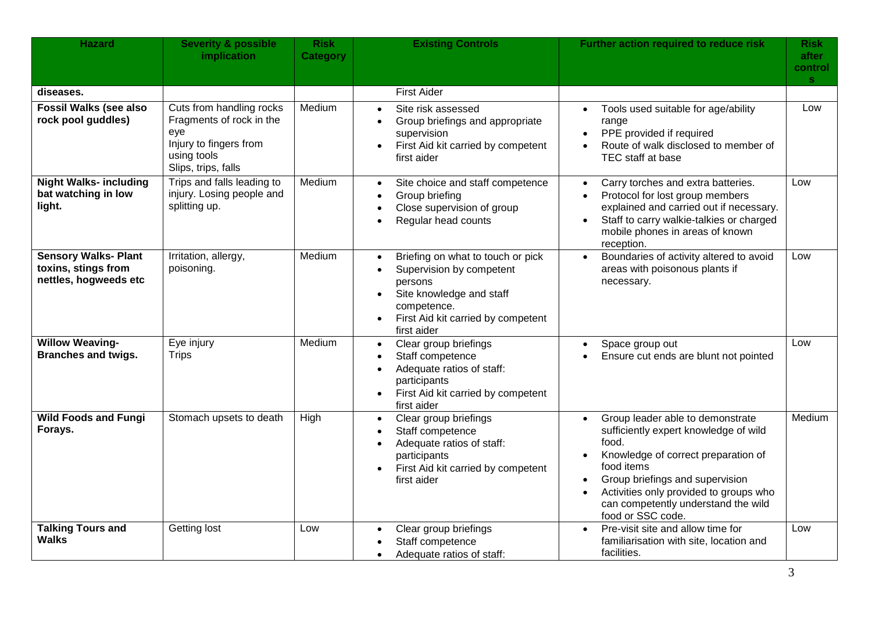| <b>Hazard</b>                                                               | <b>Severity &amp; possible</b><br>implication                                                                               | <b>Risk</b><br><b>Category</b> | <b>Existing Controls</b>                                                                                                                                                                                        | Further action required to reduce risk                                                                                                                                                                                                                                                                     | Risk<br>after<br>control<br>$\mathbf{s}$ |
|-----------------------------------------------------------------------------|-----------------------------------------------------------------------------------------------------------------------------|--------------------------------|-----------------------------------------------------------------------------------------------------------------------------------------------------------------------------------------------------------------|------------------------------------------------------------------------------------------------------------------------------------------------------------------------------------------------------------------------------------------------------------------------------------------------------------|------------------------------------------|
| diseases.                                                                   |                                                                                                                             |                                | First Aider                                                                                                                                                                                                     |                                                                                                                                                                                                                                                                                                            |                                          |
| <b>Fossil Walks (see also</b><br>rock pool guddles)                         | Cuts from handling rocks<br>Fragments of rock in the<br>eye<br>Injury to fingers from<br>using tools<br>Slips, trips, falls | Medium                         | Site risk assessed<br>$\bullet$<br>Group briefings and appropriate<br>$\bullet$<br>supervision<br>First Aid kit carried by competent<br>$\bullet$<br>first aider                                                | Tools used suitable for age/ability<br>$\bullet$<br>range<br>PPE provided if required<br>Route of walk disclosed to member of<br>$\bullet$<br>TEC staff at base                                                                                                                                            | Low                                      |
| <b>Night Walks- including</b><br>bat watching in low<br>light.              | Trips and falls leading to<br>injury. Losing people and<br>splitting up.                                                    | Medium                         | Site choice and staff competence<br>$\bullet$<br>Group briefing<br>Close supervision of group<br>Regular head counts                                                                                            | Carry torches and extra batteries.<br>$\bullet$<br>Protocol for lost group members<br>$\bullet$<br>explained and carried out if necessary.<br>Staff to carry walkie-talkies or charged<br>$\bullet$<br>mobile phones in areas of known<br>reception.                                                       | Low                                      |
| <b>Sensory Walks- Plant</b><br>toxins, stings from<br>nettles, hogweeds etc | Irritation, allergy,<br>poisoning.                                                                                          | Medium                         | Briefing on what to touch or pick<br>$\bullet$<br>Supervision by competent<br>$\bullet$<br>persons<br>Site knowledge and staff<br>competence.<br>First Aid kit carried by competent<br>$\bullet$<br>first aider | Boundaries of activity altered to avoid<br>$\bullet$<br>areas with poisonous plants if<br>necessary.                                                                                                                                                                                                       | Low                                      |
| <b>Willow Weaving-</b><br><b>Branches and twigs.</b>                        | Eye injury<br><b>Trips</b>                                                                                                  | Medium                         | Clear group briefings<br>$\bullet$<br>Staff competence<br>$\bullet$<br>Adequate ratios of staff:<br>$\bullet$<br>participants<br>First Aid kit carried by competent<br>$\bullet$<br>first aider                 | Space group out<br>$\bullet$<br>Ensure cut ends are blunt not pointed<br>$\bullet$                                                                                                                                                                                                                         | Low                                      |
| <b>Wild Foods and Fungi</b><br>Forays.                                      | Stomach upsets to death                                                                                                     | High                           | Clear group briefings<br>$\bullet$<br>Staff competence<br>Adequate ratios of staff:<br>participants<br>First Aid kit carried by competent<br>$\bullet$<br>first aider                                           | Group leader able to demonstrate<br>$\bullet$<br>sufficiently expert knowledge of wild<br>food.<br>Knowledge of correct preparation of<br>food items<br>Group briefings and supervision<br>$\bullet$<br>Activities only provided to groups who<br>can competently understand the wild<br>food or SSC code. | Medium                                   |
| <b>Talking Tours and</b><br><b>Walks</b>                                    | Getting lost                                                                                                                | Low                            | Clear group briefings<br>$\bullet$<br>Staff competence<br>Adequate ratios of staff:                                                                                                                             | Pre-visit site and allow time for<br>$\bullet$<br>familiarisation with site, location and<br>facilities.                                                                                                                                                                                                   | Low                                      |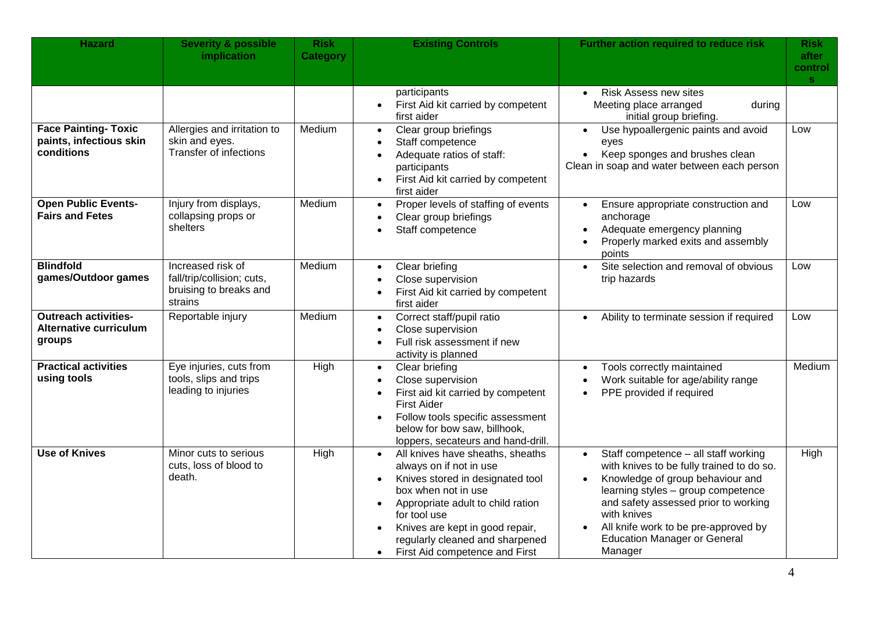| <b>Hazard</b>                                                          | <b>Severity &amp; possible</b><br>implication                                        | <b>Risk</b><br><b>Category</b> | <b>Existing Controls</b>                                                                                                                                                                                                                                                                                                                | Further action required to reduce risk                                                                                                                                                                                                                                                                       | <b>Risk</b><br>after<br>control<br>S. |
|------------------------------------------------------------------------|--------------------------------------------------------------------------------------|--------------------------------|-----------------------------------------------------------------------------------------------------------------------------------------------------------------------------------------------------------------------------------------------------------------------------------------------------------------------------------------|--------------------------------------------------------------------------------------------------------------------------------------------------------------------------------------------------------------------------------------------------------------------------------------------------------------|---------------------------------------|
| <b>Face Painting- Toxic</b><br>paints, infectious skin<br>conditions   | Allergies and irritation to<br>skin and eyes.<br><b>Transfer of infections</b>       | Medium                         | participants<br>First Aid kit carried by competent<br>first aider<br>Clear group briefings<br>$\bullet$<br>Staff competence<br>Adequate ratios of staff:<br>$\bullet$<br>participants<br>First Aid kit carried by competent<br>first aider                                                                                              | Risk Assess new sites<br>$\bullet$<br>Meeting place arranged<br>during<br>initial group briefing.<br>Use hypoallergenic paints and avoid<br>$\bullet$<br>eyes<br>Keep sponges and brushes clean<br>$\bullet$<br>Clean in soap and water between each person                                                  | Low                                   |
| <b>Open Public Events-</b><br><b>Fairs and Fetes</b>                   | Injury from displays,<br>collapsing props or<br>shelters                             | Medium                         | Proper levels of staffing of events<br>$\bullet$<br>Clear group briefings<br>Staff competence                                                                                                                                                                                                                                           | Ensure appropriate construction and<br>anchorage<br>Adequate emergency planning<br>Properly marked exits and assembly<br>points                                                                                                                                                                              | Low                                   |
| <b>Blindfold</b><br>games/Outdoor games                                | Increased risk of<br>fall/trip/collision; cuts,<br>bruising to breaks and<br>strains | Medium                         | Clear briefing<br>$\bullet$<br>Close supervision<br>First Aid kit carried by competent<br>first aider                                                                                                                                                                                                                                   | Site selection and removal of obvious<br>$\bullet$<br>trip hazards                                                                                                                                                                                                                                           | Low                                   |
| <b>Outreach activities-</b><br><b>Alternative curriculum</b><br>groups | Reportable injury                                                                    | Medium                         | Correct staff/pupil ratio<br>$\bullet$<br>Close supervision<br>$\bullet$<br>Full risk assessment if new<br>activity is planned                                                                                                                                                                                                          | Ability to terminate session if required<br>$\bullet$                                                                                                                                                                                                                                                        | Low                                   |
| <b>Practical activities</b><br>using tools                             | Eye injuries, cuts from<br>tools, slips and trips<br>leading to injuries             | High                           | Clear briefing<br>$\bullet$<br>Close supervision<br>First aid kit carried by competent<br>$\bullet$<br><b>First Aider</b><br>Follow tools specific assessment<br>below for bow saw, billhook,<br>loppers, secateurs and hand-drill.                                                                                                     | Tools correctly maintained<br>$\bullet$<br>Work suitable for age/ability range<br>$\bullet$<br>PPE provided if required                                                                                                                                                                                      | Medium                                |
| <b>Use of Knives</b>                                                   | Minor cuts to serious<br>cuts, loss of blood to<br>death.                            | High                           | All knives have sheaths, sheaths<br>always on if not in use<br>Knives stored in designated tool<br>$\bullet$<br>box when not in use<br>Appropriate adult to child ration<br>$\bullet$<br>for tool use<br>Knives are kept in good repair,<br>$\bullet$<br>regularly cleaned and sharpened<br>First Aid competence and First<br>$\bullet$ | Staff competence - all staff working<br>with knives to be fully trained to do so.<br>Knowledge of group behaviour and<br>learning styles - group competence<br>and safety assessed prior to working<br>with knives<br>All knife work to be pre-approved by<br><b>Education Manager or General</b><br>Manager | High                                  |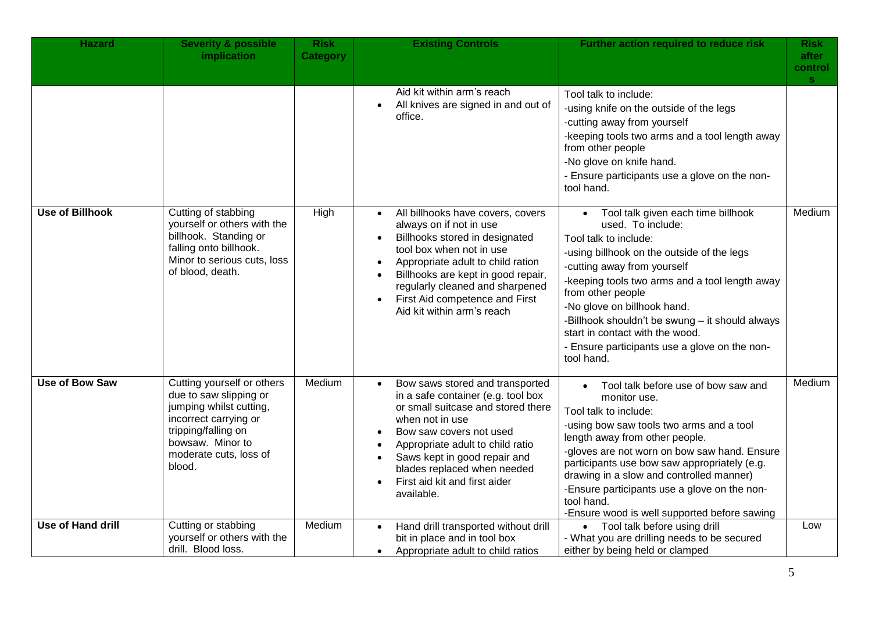| <b>Hazard</b>            | <b>Severity &amp; possible</b><br>implication                                                                                                                                           | <b>Risk</b><br><b>Category</b> | <b>Existing Controls</b>                                                                                                                                                                                                                                                                                                                                     | Further action required to reduce risk                                                                                                                                                                                                                                                                                                                                                                                                | <b>Risk</b><br>after<br>control<br><b>S</b> |
|--------------------------|-----------------------------------------------------------------------------------------------------------------------------------------------------------------------------------------|--------------------------------|--------------------------------------------------------------------------------------------------------------------------------------------------------------------------------------------------------------------------------------------------------------------------------------------------------------------------------------------------------------|---------------------------------------------------------------------------------------------------------------------------------------------------------------------------------------------------------------------------------------------------------------------------------------------------------------------------------------------------------------------------------------------------------------------------------------|---------------------------------------------|
|                          |                                                                                                                                                                                         |                                | Aid kit within arm's reach<br>All knives are signed in and out of<br>office.                                                                                                                                                                                                                                                                                 | Tool talk to include:<br>-using knife on the outside of the legs<br>-cutting away from yourself<br>-keeping tools two arms and a tool length away<br>from other people<br>-No glove on knife hand.<br>- Ensure participants use a glove on the non-<br>tool hand.                                                                                                                                                                     |                                             |
| <b>Use of Billhook</b>   | Cutting of stabbing<br>yourself or others with the<br>billhook. Standing or<br>falling onto billhook.<br>Minor to serious cuts, loss<br>of blood, death.                                | High                           | All billhooks have covers, covers<br>$\bullet$<br>always on if not in use<br>Billhooks stored in designated<br>$\bullet$<br>tool box when not in use<br>Appropriate adult to child ration<br>$\bullet$<br>Billhooks are kept in good repair,<br>$\bullet$<br>regularly cleaned and sharpened<br>First Aid competence and First<br>Aid kit within arm's reach | Tool talk given each time billhook<br>$\bullet$<br>used. To include:<br>Tool talk to include:<br>-using billhook on the outside of the legs<br>-cutting away from yourself<br>-keeping tools two arms and a tool length away<br>from other people<br>-No glove on billhook hand.<br>-Billhook shouldn't be swung - it should always<br>start in contact with the wood.<br>- Ensure participants use a glove on the non-<br>tool hand. | Medium                                      |
| <b>Use of Bow Saw</b>    | Cutting yourself or others<br>due to saw slipping or<br>jumping whilst cutting,<br>incorrect carrying or<br>tripping/falling on<br>bowsaw. Minor to<br>moderate cuts, loss of<br>blood. | Medium                         | Bow saws stored and transported<br>in a safe container (e.g. tool box<br>or small suitcase and stored there<br>when not in use<br>Bow saw covers not used<br>$\bullet$<br>Appropriate adult to child ratio<br>Saws kept in good repair and<br>$\bullet$<br>blades replaced when needed<br>First aid kit and first aider<br>available.                        | Tool talk before use of bow saw and<br>$\bullet$<br>monitor use.<br>Tool talk to include:<br>-using bow saw tools two arms and a tool<br>length away from other people.<br>-gloves are not worn on bow saw hand. Ensure<br>participants use bow saw appropriately (e.g.<br>drawing in a slow and controlled manner)<br>-Ensure participants use a glove on the non-<br>tool hand.<br>-Ensure wood is well supported before sawing     | Medium                                      |
| <b>Use of Hand drill</b> | Cutting or stabbing<br>yourself or others with the<br>drill. Blood loss.                                                                                                                | Medium                         | Hand drill transported without drill<br>$\bullet$<br>bit in place and in tool box<br>Appropriate adult to child ratios<br>$\bullet$                                                                                                                                                                                                                          | • Tool talk before using drill<br>- What you are drilling needs to be secured<br>either by being held or clamped                                                                                                                                                                                                                                                                                                                      | Low                                         |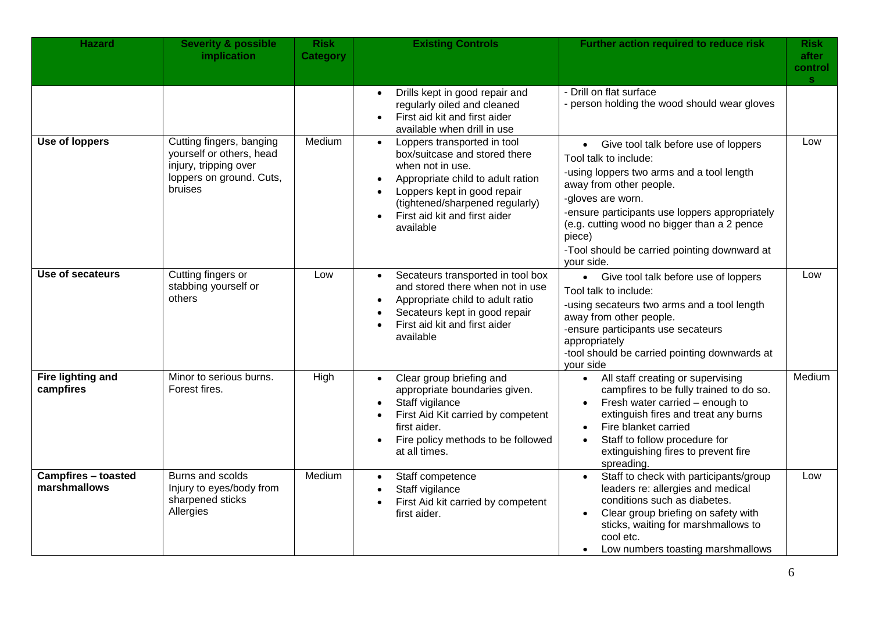| <b>Hazard</b>                              | <b>Severity &amp; possible</b><br>implication                                                                        | <b>Risk</b><br><b>Category</b> | <b>Existing Controls</b>                                                                                                                                                                                                                                                     | Further action required to reduce risk                                                                                                                                                                                                                                                                                                | <b>Risk</b><br>after<br>control<br>S. |
|--------------------------------------------|----------------------------------------------------------------------------------------------------------------------|--------------------------------|------------------------------------------------------------------------------------------------------------------------------------------------------------------------------------------------------------------------------------------------------------------------------|---------------------------------------------------------------------------------------------------------------------------------------------------------------------------------------------------------------------------------------------------------------------------------------------------------------------------------------|---------------------------------------|
|                                            |                                                                                                                      |                                | Drills kept in good repair and<br>$\bullet$<br>regularly oiled and cleaned<br>First aid kit and first aider<br>available when drill in use                                                                                                                                   | - Drill on flat surface<br>- person holding the wood should wear gloves                                                                                                                                                                                                                                                               |                                       |
| <b>Use of loppers</b>                      | Cutting fingers, banging<br>yourself or others, head<br>injury, tripping over<br>loppers on ground. Cuts,<br>bruises | Medium                         | Loppers transported in tool<br>$\bullet$<br>box/suitcase and stored there<br>when not in use.<br>Appropriate child to adult ration<br>$\bullet$<br>Loppers kept in good repair<br>$\bullet$<br>(tightened/sharpened regularly)<br>First aid kit and first aider<br>available | • Give tool talk before use of loppers<br>Tool talk to include:<br>-using loppers two arms and a tool length<br>away from other people.<br>-gloves are worn.<br>-ensure participants use loppers appropriately<br>(e.g. cutting wood no bigger than a 2 pence<br>piece)<br>-Tool should be carried pointing downward at<br>your side. | Low                                   |
| Use of secateurs                           | Cutting fingers or<br>stabbing yourself or<br>others                                                                 | Low                            | Secateurs transported in tool box<br>$\bullet$<br>and stored there when not in use<br>Appropriate child to adult ratio<br>Secateurs kept in good repair<br>First aid kit and first aider<br>available                                                                        | Give tool talk before use of loppers<br>$\bullet$<br>Tool talk to include:<br>-using secateurs two arms and a tool length<br>away from other people.<br>-ensure participants use secateurs<br>appropriately<br>-tool should be carried pointing downwards at<br>your side                                                             | Low                                   |
| Fire lighting and<br>campfires             | Minor to serious burns.<br>Forest fires.                                                                             | High                           | Clear group briefing and<br>$\bullet$<br>appropriate boundaries given.<br>Staff vigilance<br>$\bullet$<br>First Aid Kit carried by competent<br>first aider.<br>Fire policy methods to be followed<br>at all times.                                                          | All staff creating or supervising<br>$\bullet$<br>campfires to be fully trained to do so.<br>Fresh water carried - enough to<br>extinguish fires and treat any burns<br>Fire blanket carried<br>$\bullet$<br>Staff to follow procedure for<br>extinguishing fires to prevent fire<br>spreading.                                       | Medium                                |
| <b>Campfires - toasted</b><br>marshmallows | Burns and scolds<br>Injury to eyes/body from<br>sharpened sticks<br>Allergies                                        | Medium                         | Staff competence<br>$\bullet$<br>Staff vigilance<br>$\bullet$<br>First Aid kit carried by competent<br>first aider.                                                                                                                                                          | Staff to check with participants/group<br>$\bullet$<br>leaders re: allergies and medical<br>conditions such as diabetes.<br>Clear group briefing on safety with<br>sticks, waiting for marshmallows to<br>cool etc.<br>Low numbers toasting marshmallows                                                                              | Low                                   |